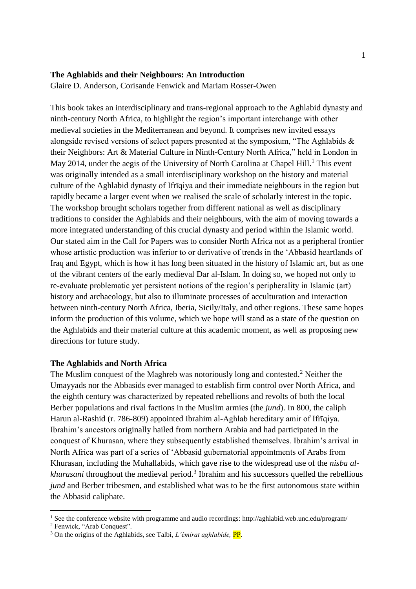#### **The Aghlabids and their Neighbours: An Introduction**

Glaire D. Anderson, Corisande Fenwick and Mariam Rosser-Owen

This book takes an interdisciplinary and trans-regional approach to the Aghlabid dynasty and ninth-century North Africa, to highlight the region's important interchange with other medieval societies in the Mediterranean and beyond. It comprises new invited essays alongside revised versions of select papers presented at the symposium, "The Aghlabids & their Neighbors: Art & Material Culture in Ninth-Century North Africa," held in London in May 2014, under the aegis of the University of North Carolina at Chapel Hill.<sup>1</sup> This event was originally intended as a small interdisciplinary workshop on the history and material culture of the Aghlabid dynasty of Ifrīqiya and their immediate neighbours in the region but rapidly became a larger event when we realised the scale of scholarly interest in the topic. The workshop brought scholars together from different national as well as disciplinary traditions to consider the Aghlabids and their neighbours, with the aim of moving towards a more integrated understanding of this crucial dynasty and period within the Islamic world. Our stated aim in the Call for Papers was to consider North Africa not as a peripheral frontier whose artistic production was inferior to or derivative of trends in the 'Abbasid heartlands of Iraq and Egypt, which is how it has long been situated in the history of Islamic art, but as one of the vibrant centers of the early medieval Dar al-Islam. In doing so, we hoped not only to re-evaluate problematic yet persistent notions of the region's peripherality in Islamic (art) history and archaeology, but also to illuminate processes of acculturation and interaction between ninth-century North Africa, Iberia, Sicily/Italy, and other regions. These same hopes inform the production of this volume, which we hope will stand as a state of the question on the Aghlabids and their material culture at this academic moment, as well as proposing new directions for future study.

### **The Aghlabids and North Africa**

The Muslim conquest of the Maghreb was notoriously long and contested.<sup>2</sup> Neither the Umayyads nor the Abbasids ever managed to establish firm control over North Africa, and the eighth century was characterized by repeated rebellions and revolts of both the local Berber populations and rival factions in the Muslim armies (the *jund*). In 800, the caliph Harun al-Rashid (r. 786-809) appointed Ibrahim al-Aghlab hereditary amir of Ifrīqiya. Ibrahim's ancestors originally hailed from northern Arabia and had participated in the conquest of Khurasan, where they subsequently established themselves. Ibrahim's arrival in North Africa was part of a series of 'Abbasid gubernatorial appointments of Arabs from Khurasan, including the Muhallabids, which gave rise to the widespread use of the *nisba al*khurasani throughout the medieval period.<sup>3</sup> Ibrahim and his successors quelled the rebellious *jund* and Berber tribesmen, and established what was to be the first autonomous state within the Abbasid caliphate.

<sup>1</sup> See the conference website with programme and audio recordings: http://aghlabid.web.unc.edu/program/

<sup>2</sup> Fenwick, "Arab Conquest".

<sup>3</sup> On the origins of the Aghlabids, see Talbi, *L'émirat aghlabide,* PP.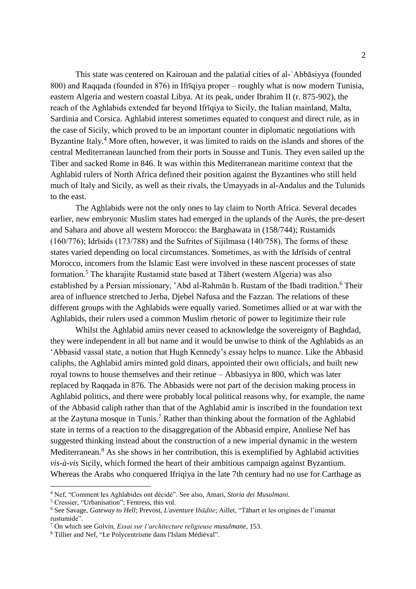This state was centered on Kairouan and the palatial cities of al-ʿAbbāsiyya (founded 800) and Raqqada (founded in 876) in Ifrīqiya proper – roughly what is now modern Tunisia, eastern Algeria and western coastal Libya. At its peak, under Ibrahim II (r. 875-902), the reach of the Aghlabids extended far beyond Ifrīqiya to Sicily, the Italian mainland, Malta, Sardinia and Corsica. Aghlabid interest sometimes equated to conquest and direct rule, as in the case of Sicily, which proved to be an important counter in diplomatic negotiations with Byzantine Italy.<sup>4</sup> More often, however, it was limited to raids on the islands and shores of the central Mediterranean launched from their ports in Sousse and Tunis. They even sailed up the Tiber and sacked Rome in 846. It was within this Mediterranean maritime context that the Aghlabid rulers of North Africa defined their position against the Byzantines who still held much of Italy and Sicily, as well as their rivals, the Umayyads in al-Andalus and the Tulunids to the east.

The Aghlabids were not the only ones to lay claim to North Africa. Several decades earlier, new embryonic Muslim states had emerged in the uplands of the Aurés, the pre-desert and Sahara and above all western Morocco: the Barghawata in (158/744); Rustamids (160/776); Idrīsids (173/788) and the Sufrites of Sijilmasa (140/758). The forms of these states varied depending on local circumstances. Sometimes, as with the Idrīsids of central Morocco, incomers from the Islamic East were involved in these nascent processes of state formation.<sup>5</sup> The kharajite Rustamid state based at Tāhert (western Algeria) was also established by a Persian missionary, 'Abd al-Rahmān b. Rustam of the Ibadi tradition.<sup>6</sup> Their area of influence stretched to Jerba, Djebel Nafusa and the Fazzan. The relations of these different groups with the Aghlabids were equally varied. Sometimes allied or at war with the Aghlabids, their rulers used a common Muslim rhetoric of power to legitimize their rule

Whilst the Aghlabid amirs never ceased to acknowledge the sovereignty of Baghdad, they were independent in all but name and it would be unwise to think of the Aghlabids as an 'Abbasid vassal state, a notion that Hugh Kennedy's essay helps to nuance. Like the Abbasid caliphs, the Aghlabid amirs minted gold dinars, appointed their own officials, and built new royal towns to house themselves and their retinue – Abbasiyya in 800, which was later replaced by Raqqada in 876. The Abbasids were not part of the decision making process in Aghlabid politics, and there were probably local political reasons why, for example, the name of the Abbasid caliph rather than that of the Aghlabid amir is inscribed in the foundation text at the Zaytuna mosque in Tunis.<sup>7</sup> Rather than thinking about the formation of the Aghlabid state in terms of a reaction to the disaggregation of the Abbasid empire, Annliese Nef has suggested thinking instead about the construction of a new imperial dynamic in the western Mediterranean.<sup>8</sup> As she shows in her contribution, this is exemplified by Aghlabid activities *vis-à-vis* Sicily, which formed the heart of their ambitious campaign against Byzantium. Whereas the Arabs who conquered Ifriqiya in the late 7th century had no use for Carthage as

<sup>4</sup> Nef, "Comment les Aghlabides ont décidé". See also, Amari, *Storia dei Musulmani.*

<sup>5</sup> Cressier, "Urbanisation"; Fentress, this vol.

<sup>6</sup> See Savage, *Gateway to Hell*; Prevost, *L'aventure* I*bāḍite*; Aillet, "Tāhart et les origines de l'imamat rustumide".

<sup>7</sup> On which see Golvin*, Essai sur l'architecture religieuse musulmane*, 153.

<sup>8</sup> Tillier and Nef, "Le Polycentrisme dans l'Islam Médiéval".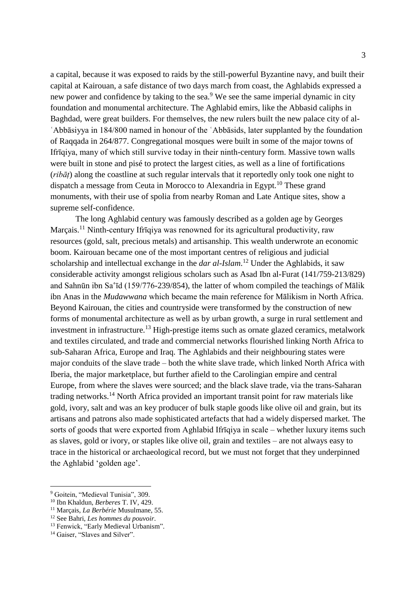a capital, because it was exposed to raids by the still-powerful Byzantine navy, and built their capital at Kairouan, a safe distance of two days march from coast, the Aghlabids expressed a new power and confidence by taking to the sea.<sup>9</sup> We see the same imperial dynamic in city foundation and monumental architecture. The Aghlabid emirs, like the Abbasid caliphs in Baghdad, were great builders. For themselves, the new rulers built the new palace city of al-ʿAbbāsiyya in 184/800 named in honour of the ʿAbbāsids, later supplanted by the foundation of Raqqada in 264/877. Congregational mosques were built in some of the major towns of Ifrīqiya, many of which still survive today in their ninth-century form. Massive town walls were built in stone and pisé to protect the largest cities, as well as a line of fortifications (*ribāṭ*) along the coastline at such regular intervals that it reportedly only took one night to dispatch a message from Ceuta in Morocco to Alexandria in Egypt.<sup>10</sup> These grand monuments, with their use of spolia from nearby Roman and Late Antique sites, show a supreme self-confidence.

The long Aghlabid century was famously described as a golden age by Georges Marçais.<sup>11</sup> Ninth-century Ifrīqiya was renowned for its agricultural productivity, raw resources (gold, salt, precious metals) and artisanship. This wealth underwrote an economic boom. Kairouan became one of the most important centres of religious and judicial scholarship and intellectual exchange in the *dar al-Islam*. <sup>12</sup> Under the Aghlabids, it saw considerable activity amongst religious scholars such as Asad Ibn al-Furat (141/759-213/829) and Sahnūn ibn Sa'īd (159/776-239/854), the latter of whom compiled the teachings of Mālik ibn Anas in the *Mudawwana* which became the main reference for Mālikism in North Africa. Beyond Kairouan, the cities and countryside were transformed by the construction of new forms of monumental architecture as well as by urban growth, a surge in rural settlement and investment in infrastructure.<sup>13</sup> High-prestige items such as ornate glazed ceramics, metalwork and textiles circulated, and trade and commercial networks flourished linking North Africa to sub-Saharan Africa, Europe and Iraq. The Aghlabids and their neighbouring states were major conduits of the slave trade – both the white slave trade, which linked North Africa with Iberia, the major marketplace, but further afield to the Carolingian empire and central Europe, from where the slaves were sourced; and the black slave trade, via the trans-Saharan trading networks.<sup>14</sup> North Africa provided an important transit point for raw materials like gold, ivory, salt and was an key producer of bulk staple goods like olive oil and grain, but its artisans and patrons also made sophisticated artefacts that had a widely dispersed market. The sorts of goods that were exported from Aghlabid Ifrīqiya in scale – whether luxury items such as slaves, gold or ivory, or staples like olive oil, grain and textiles – are not always easy to trace in the historical or archaeological record, but we must not forget that they underpinned the Aghlabid 'golden age'.

<sup>&</sup>lt;sup>9</sup> Goitein, "Medieval Tunisia", 309.

<sup>10</sup> Ibn Khaldun, *Berberes* T. IV, 429.

<sup>11</sup> Marçais, *La Berbérie* Musulmane, 55.

<sup>12</sup> See Bahri, *Les hommes du pouvoir*.

<sup>&</sup>lt;sup>13</sup> Fenwick, "Early Medieval Urbanism".

<sup>&</sup>lt;sup>14</sup> Gaiser, "Slaves and Silver".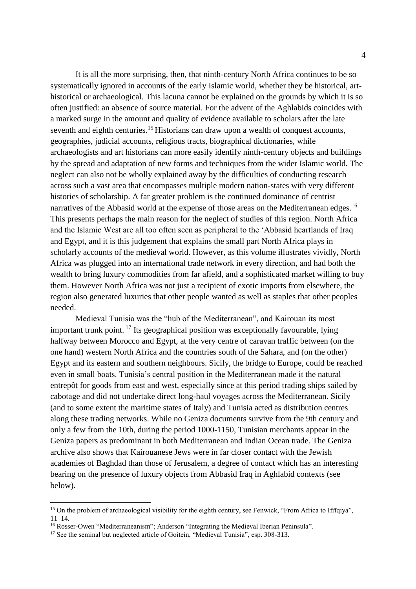It is all the more surprising, then, that ninth-century North Africa continues to be so systematically ignored in accounts of the early Islamic world, whether they be historical, arthistorical or archaeological. This lacuna cannot be explained on the grounds by which it is so often justified: an absence of source material. For the advent of the Aghlabids coincides with a marked surge in the amount and quality of evidence available to scholars after the late seventh and eighth centuries.<sup>15</sup> Historians can draw upon a wealth of conquest accounts, geographies, judicial accounts, religious tracts, biographical dictionaries, while archaeologists and art historians can more easily identify ninth-century objects and buildings by the spread and adaptation of new forms and techniques from the wider Islamic world. The neglect can also not be wholly explained away by the difficulties of conducting research across such a vast area that encompasses multiple modern nation-states with very different histories of scholarship. A far greater problem is the continued dominance of centrist narratives of the Abbasid world at the expense of those areas on the Mediterranean edges.<sup>16</sup> This presents perhaps the main reason for the neglect of studies of this region. North Africa and the Islamic West are all too often seen as peripheral to the 'Abbasid heartlands of Iraq and Egypt, and it is this judgement that explains the small part North Africa plays in scholarly accounts of the medieval world. However, as this volume illustrates vividly, North Africa was plugged into an international trade network in every direction, and had both the wealth to bring luxury commodities from far afield, and a sophisticated market willing to buy them. However North Africa was not just a recipient of exotic imports from elsewhere, the region also generated luxuries that other people wanted as well as staples that other peoples needed.

Medieval Tunisia was the "hub of the Mediterranean", and Kairouan its most important trunk point. <sup>17</sup> Its geographical position was exceptionally favourable, lying halfway between Morocco and Egypt, at the very centre of caravan traffic between (on the one hand) western North Africa and the countries south of the Sahara, and (on the other) Egypt and its eastern and southern neighbours. Sicily, the bridge to Europe, could be reached even in small boats. Tunisia's central position in the Mediterranean made it the natural entrepôt for goods from east and west, especially since at this period trading ships sailed by cabotage and did not undertake direct long-haul voyages across the Mediterranean. Sicily (and to some extent the maritime states of Italy) and Tunisia acted as distribution centres along these trading networks. While no Geniza documents survive from the 9th century and only a few from the 10th, during the period 1000-1150, Tunisian merchants appear in the Geniza papers as predominant in both Mediterranean and Indian Ocean trade. The Geniza archive also shows that Kairouanese Jews were in far closer contact with the Jewish academies of Baghdad than those of Jerusalem, a degree of contact which has an interesting bearing on the presence of luxury objects from Abbasid Iraq in Aghlabid contexts (see below).

<sup>&</sup>lt;sup>15</sup> On the problem of archaeological visibility for the eighth century, see Fenwick, "From Africa to Ifrīqiya", 11–14.

<sup>16</sup> Rosser-Owen "Mediterraneanism"; Anderson "Integrating the Medieval Iberian Peninsula".

<sup>&</sup>lt;sup>17</sup> See the seminal but neglected article of Goitein, "Medieval Tunisia", esp. 308-313.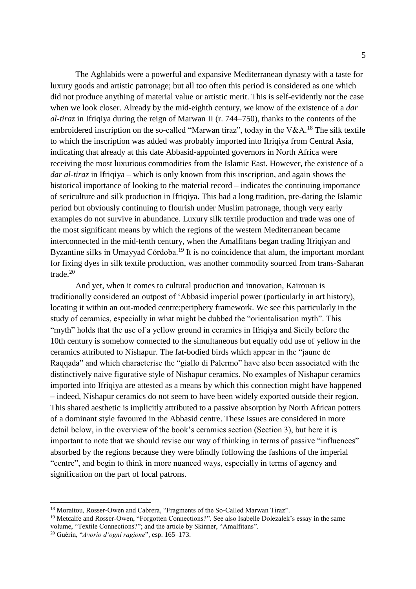The Aghlabids were a powerful and expansive Mediterranean dynasty with a taste for luxury goods and artistic patronage; but all too often this period is considered as one which did not produce anything of material value or artistic merit. This is self-evidently not the case when we look closer. Already by the mid-eighth century, we know of the existence of a *dar al-tiraz* in Ifriqiya during the reign of Marwan II (r. 744–750), thanks to the contents of the embroidered inscription on the so-called "Marwan tiraz", today in the V&A.<sup>18</sup> The silk textile to which the inscription was added was probably imported into Ifriqiya from Central Asia, indicating that already at this date Abbasid-appointed governors in North Africa were receiving the most luxurious commodities from the Islamic East. However, the existence of a *dar al-tiraz* in Ifriqiya – which is only known from this inscription, and again shows the historical importance of looking to the material record – indicates the continuing importance of sericulture and silk production in Ifriqiya. This had a long tradition, pre-dating the Islamic period but obviously continuing to flourish under Muslim patronage, though very early examples do not survive in abundance. Luxury silk textile production and trade was one of the most significant means by which the regions of the western Mediterranean became interconnected in the mid-tenth century, when the Amalfitans began trading Ifriqiyan and Byzantine silks in Umayyad Córdoba.<sup>19</sup> It is no coincidence that alum, the important mordant for fixing dyes in silk textile production, was another commodity sourced from trans-Saharan trade.<sup>20</sup>

And yet, when it comes to cultural production and innovation, Kairouan is traditionally considered an outpost of 'Abbasid imperial power (particularly in art history), locating it within an out-moded centre:periphery framework. We see this particularly in the study of ceramics, especially in what might be dubbed the "orientalisation myth". This "myth" holds that the use of a yellow ground in ceramics in Ifriqiya and Sicily before the 10th century is somehow connected to the simultaneous but equally odd use of yellow in the ceramics attributed to Nishapur. The fat-bodied birds which appear in the "jaune de Raqqada" and which characterise the "giallo di Palermo" have also been associated with the distinctively naive figurative style of Nishapur ceramics. No examples of Nishapur ceramics imported into Ifriqiya are attested as a means by which this connection might have happened – indeed, Nishapur ceramics do not seem to have been widely exported outside their region. This shared aesthetic is implicitly attributed to a passive absorption by North African potters of a dominant style favoured in the Abbasid centre. These issues are considered in more detail below, in the overview of the book's ceramics section (Section 3), but here it is important to note that we should revise our way of thinking in terms of passive "influences" absorbed by the regions because they were blindly following the fashions of the imperial "centre", and begin to think in more nuanced ways, especially in terms of agency and signification on the part of local patrons.

<sup>18</sup> Moraitou, Rosser-Owen and Cabrera, "Fragments of the So-Called Marwan Tiraz".

<sup>&</sup>lt;sup>19</sup> Metcalfe and Rosser-Owen, "Forgotten Connections?". See also Isabelle Dolezalek's essay in the same volume, "Textile Connections?"; and the article by Skinner, "Amalfitans".

<sup>20</sup> Guérin, "*Avorio d'ogni ragione*", esp. 165–173.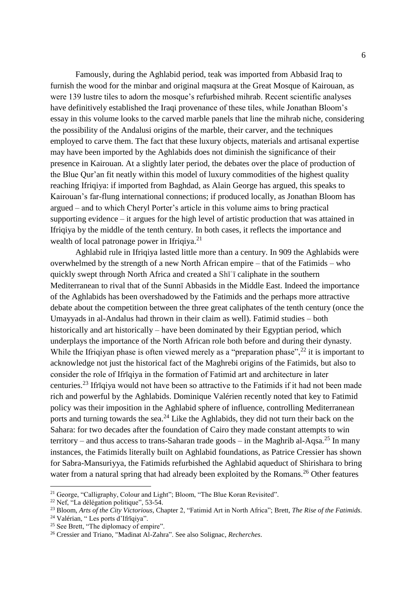Famously, during the Aghlabid period, teak was imported from Abbasid Iraq to furnish the wood for the minbar and original maqsura at the Great Mosque of Kairouan, as were 139 lustre tiles to adorn the mosque's refurbished mihrab. Recent scientific analyses have definitively established the Iraqi provenance of these tiles, while Jonathan Bloom's essay in this volume looks to the carved marble panels that line the mihrab niche, considering the possibility of the Andalusi origins of the marble, their carver, and the techniques employed to carve them. The fact that these luxury objects, materials and artisanal expertise may have been imported by the Aghlabids does not diminish the significance of their presence in Kairouan. At a slightly later period, the debates over the place of production of the Blue Qur'an fit neatly within this model of luxury commodities of the highest quality reaching Ifriqiya: if imported from Baghdad, as Alain George has argued, this speaks to Kairouan's far-flung international connections; if produced locally, as Jonathan Bloom has argued – and to which Cheryl Porter's article in this volume aims to bring practical supporting evidence – it argues for the high level of artistic production that was attained in Ifriqiya by the middle of the tenth century. In both cases, it reflects the importance and wealth of local patronage power in Ifriqiya.<sup>21</sup>

Aghlabid rule in Ifriqiya lasted little more than a century. In 909 the Aghlabids were overwhelmed by the strength of a new North African empire – that of the Fatimids – who quickly swept through North Africa and created a Shīʿī caliphate in the southern Mediterranean to rival that of the Sunnī Abbasids in the Middle East. Indeed the importance of the Aghlabids has been overshadowed by the Fatimids and the perhaps more attractive debate about the competition between the three great caliphates of the tenth century (once the Umayyads in al-Andalus had thrown in their claim as well). Fatimid studies – both historically and art historically – have been dominated by their Egyptian period, which underplays the importance of the North African role both before and during their dynasty. While the Ifriqiyan phase is often viewed merely as a "preparation phase",  $^{22}$  it is important to acknowledge not just the historical fact of the Maghrebi origins of the Fatimids, but also to consider the role of Ifrīqiya in the formation of Fatimid art and architecture in later centuries.<sup>23</sup> Ifrīqiya would not have been so attractive to the Fatimids if it had not been made rich and powerful by the Aghlabids. Dominique Valérien recently noted that key to Fatimid policy was their imposition in the Aghlabid sphere of influence, controlling Mediterranean ports and turning towards the sea.<sup>24</sup> Like the Aghlabids, they did not turn their back on the Sahara: for two decades after the foundation of Cairo they made constant attempts to win territory – and thus access to trans-Saharan trade goods – in the Maghrib al-Aqsa.<sup>25</sup> In many instances, the Fatimids literally built on Aghlabid foundations, as Patrice Cressier has shown for Sabra-Mansuriyya, the Fatimids refurbished the Aghlabid aqueduct of Shirishara to bring water from a natural spring that had already been exploited by the Romans.<sup>26</sup> Other features

<sup>&</sup>lt;sup>21</sup> George, "Calligraphy, Colour and Light"; Bloom, "The Blue Koran Revisited".

<sup>22</sup> Nef, "La délégation politique", 53-54.

<sup>23</sup> Bloom, *Arts of the City Victorious*, Chapter 2, "Fatimid Art in North Africa"; Brett, *The Rise of the Fatimids.*

<sup>&</sup>lt;sup>24</sup> Valérian, "Les ports d'Ifrīqiya".

<sup>&</sup>lt;sup>25</sup> See Brett, "The diplomacy of empire".

<sup>26</sup> Cressier and Triano, "Madinat Al-Zahra". See also Solignac, *Recherches*.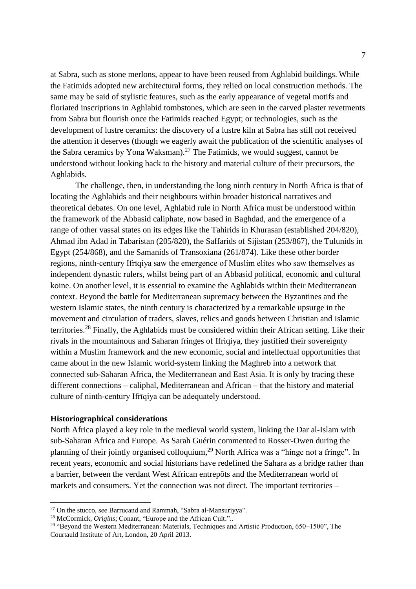at Sabra, such as stone merlons, appear to have been reused from Aghlabid buildings. While the Fatimids adopted new architectural forms, they relied on local construction methods. The same may be said of stylistic features, such as the early appearance of vegetal motifs and floriated inscriptions in Aghlabid tombstones, which are seen in the carved plaster revetments from Sabra but flourish once the Fatimids reached Egypt; or technologies, such as the development of lustre ceramics: the discovery of a lustre kiln at Sabra has still not received the attention it deserves (though we eagerly await the publication of the scientific analyses of the Sabra ceramics by Yona Waksman).<sup>27</sup> The Fatimids, we would suggest, cannot be understood without looking back to the history and material culture of their precursors, the Aghlabids.

The challenge, then, in understanding the long ninth century in North Africa is that of locating the Aghlabids and their neighbours within broader historical narratives and theoretical debates. On one level, Aghlabid rule in North Africa must be understood within the framework of the Abbasid caliphate, now based in Baghdad, and the emergence of a range of other vassal states on its edges like the Tahirids in Khurasan (established 204/820), Ahmad ibn Adad in Tabaristan (205/820), the Saffarids of Sijistan (253/867), the Tulunids in Egypt (254/868), and the Samanids of Transoxiana (261/874). Like these other border regions, ninth-century Ifrīqiya saw the emergence of Muslim elites who saw themselves as independent dynastic rulers, whilst being part of an Abbasid political, economic and cultural koine. On another level, it is essential to examine the Aghlabids within their Mediterranean context. Beyond the battle for Mediterranean supremacy between the Byzantines and the western Islamic states, the ninth century is characterized by a remarkable upsurge in the movement and circulation of traders, slaves, relics and goods between Christian and Islamic territories.<sup>28</sup> Finally, the Aghlabids must be considered within their African setting. Like their rivals in the mountainous and Saharan fringes of Ifriqiya, they justified their sovereignty within a Muslim framework and the new economic, social and intellectual opportunities that came about in the new Islamic world-system linking the Maghreb into a network that connected sub-Saharan Africa, the Mediterranean and East Asia. It is only by tracing these different connections – caliphal, Mediterranean and African – that the history and material culture of ninth-century Ifrīqiya can be adequately understood.

### **Historiographical considerations**

 $\overline{a}$ 

North Africa played a key role in the medieval world system, linking the Dar al-Islam with sub-Saharan Africa and Europe. As Sarah Guérin commented to Rosser-Owen during the planning of their jointly organised colloquium,<sup>29</sup> North Africa was a "hinge not a fringe". In recent years, economic and social historians have redefined the Sahara as a bridge rather than a barrier, between the verdant West African entrepôts and the Mediterranean world of markets and consumers. Yet the connection was not direct. The important territories –

<sup>27</sup> On the stucco, see Barrucand and Rammah, "Sabra al-Mansuriyya".

<sup>28</sup> McCormick, *Origins*; Conant, "Europe and the African Cult."..

 $29$  "Beyond the Western Mediterranean: Materials, Techniques and Artistic Production, 650–1500", The Courtauld Institute of Art, London, 20 April 2013.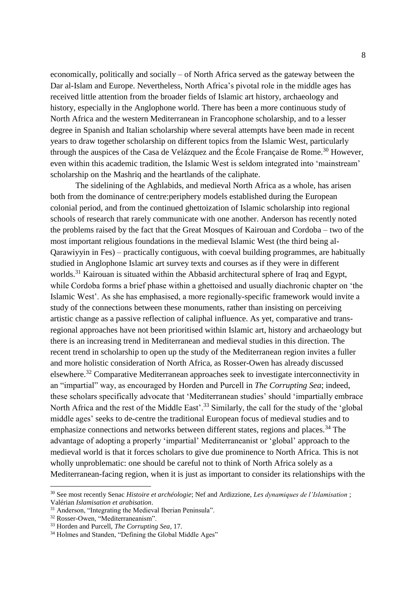economically, politically and socially – of North Africa served as the gateway between the Dar al-Islam and Europe. Nevertheless, North Africa's pivotal role in the middle ages has received little attention from the broader fields of Islamic art history, archaeology and history, especially in the Anglophone world. There has been a more continuous study of North Africa and the western Mediterranean in Francophone scholarship, and to a lesser degree in Spanish and Italian scholarship where several attempts have been made in recent years to draw together scholarship on different topics from the Islamic West, particularly through the auspices of the Casa de Velázquez and the École Française de Rome.<sup>30</sup> However, even within this academic tradition, the Islamic West is seldom integrated into 'mainstream' scholarship on the Mashriq and the heartlands of the caliphate.

The sidelining of the Aghlabids, and medieval North Africa as a whole, has arisen both from the dominance of centre:periphery models established during the European colonial period, and from the continued ghettoization of Islamic scholarship into regional schools of research that rarely communicate with one another. Anderson has recently noted the problems raised by the fact that the Great Mosques of Kairouan and Cordoba – two of the most important religious foundations in the medieval Islamic West (the third being al-Qarawiyyin in Fes) – practically contiguous, with coeval building programmes, are habitually studied in Anglophone Islamic art survey texts and courses as if they were in different worlds.<sup>31</sup> Kairouan is situated within the Abbasid architectural sphere of Iraq and Egypt, while Cordoba forms a brief phase within a ghettoised and usually diachronic chapter on 'the Islamic West'. As she has emphasised, a more regionally-specific framework would invite a study of the connections between these monuments, rather than insisting on perceiving artistic change as a passive reflection of caliphal influence. As yet, comparative and transregional approaches have not been prioritised within Islamic art, history and archaeology but there is an increasing trend in Mediterranean and medieval studies in this direction. The recent trend in scholarship to open up the study of the Mediterranean region invites a fuller and more holistic consideration of North Africa, as Rosser-Owen has already discussed elsewhere.<sup>32</sup> Comparative Mediterranean approaches seek to investigate interconnectivity in an "impartial" way, as encouraged by Horden and Purcell in *The Corrupting Sea*; indeed, these scholars specifically advocate that 'Mediterranean studies' should 'impartially embrace North Africa and the rest of the Middle East'.<sup>33</sup> Similarly, the call for the study of the 'global' middle ages' seeks to de-centre the traditional European focus of medieval studies and to emphasize connections and networks between different states, regions and places.<sup>34</sup> The advantage of adopting a properly 'impartial' Mediterraneanist or 'global' approach to the medieval world is that it forces scholars to give due prominence to North Africa. This is not wholly unproblematic: one should be careful not to think of North Africa solely as a Mediterranean-facing region, when it is just as important to consider its relationships with the

<sup>30</sup> See most recently Senac *Histoire et archéologie*; Nef and Ardizzione, *Les dynamiques de l'Islamisation* ; Valérian *Islamisation et arabisation*.

<sup>&</sup>lt;sup>31</sup> Anderson, "Integrating the Medieval Iberian Peninsula".

<sup>32</sup> Rosser-Owen, "Mediterraneanism".

<sup>33</sup> Horden and Purcell, *The Corrupting Sea*, 17.

<sup>&</sup>lt;sup>34</sup> Holmes and Standen, "Defining the Global Middle Ages"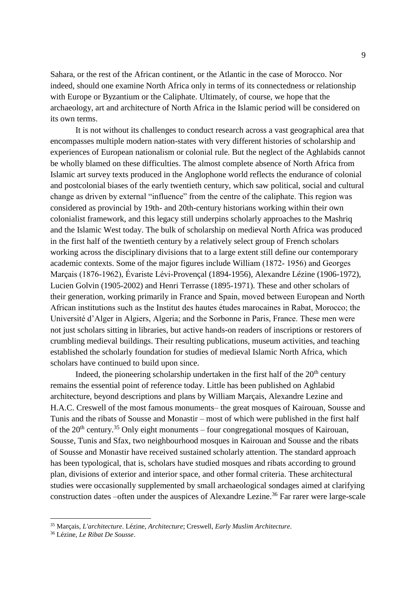Sahara, or the rest of the African continent, or the Atlantic in the case of Morocco. Nor indeed, should one examine North Africa only in terms of its connectedness or relationship with Europe or Byzantium or the Caliphate. Ultimately, of course, we hope that the archaeology, art and architecture of North Africa in the Islamic period will be considered on its own terms.

It is not without its challenges to conduct research across a vast geographical area that encompasses multiple modern nation-states with very different histories of scholarship and experiences of European nationalism or colonial rule. But the neglect of the Aghlabids cannot be wholly blamed on these difficulties. The almost complete absence of North Africa from Islamic art survey texts produced in the Anglophone world reflects the endurance of colonial and postcolonial biases of the early twentieth century, which saw political, social and cultural change as driven by external "influence" from the centre of the caliphate. This region was considered as provincial by 19th- and 20th-century historians working within their own colonialist framework, and this legacy still underpins scholarly approaches to the Mashriq and the Islamic West today. The bulk of scholarship on medieval North Africa was produced in the first half of the twentieth century by a relatively select group of French scholars working across the disciplinary divisions that to a large extent still define our contemporary academic contexts. Some of the major figures include William (1872- 1956) and Georges Marçais (1876-1962), Évariste Lévi-Provençal (1894-1956), Alexandre Lézine (1906-1972), Lucien Golvin (1905-2002) and Henri Terrasse (1895-1971). These and other scholars of their generation, working primarily in France and Spain, moved between European and North African institutions such as the Institut des hautes études marocaines in Rabat, Morocco; the Université d'Alger in Algiers, Algeria; and the Sorbonne in Paris, France. These men were not just scholars sitting in libraries, but active hands-on readers of inscriptions or restorers of crumbling medieval buildings. Their resulting publications, museum activities, and teaching established the scholarly foundation for studies of medieval Islamic North Africa, which scholars have continued to build upon since.

Indeed, the pioneering scholarship undertaken in the first half of the  $20<sup>th</sup>$  century remains the essential point of reference today. Little has been published on Aghlabid architecture, beyond descriptions and plans by William Marçais, Alexandre Lezine and H.A.C. Creswell of the most famous monuments– the great mosques of Kairouan, Sousse and Tunis and the ribats of Sousse and Monastir – most of which were published in the first half of the  $20<sup>th</sup>$  century.<sup>35</sup> Only eight monuments – four congregational mosques of Kairouan, Sousse, Tunis and Sfax, two neighbourhood mosques in Kairouan and Sousse and the ribats of Sousse and Monastir have received sustained scholarly attention. The standard approach has been typological, that is, scholars have studied mosques and ribats according to ground plan, divisions of exterior and interior space, and other formal criteria. These architectural studies were occasionally supplemented by small archaeological sondages aimed at clarifying construction dates –often under the auspices of Alexandre Lezine.<sup>36</sup> Far rarer were large-scale

<sup>35</sup> Marçais, *L'architecture*. Lézine, *Architecture*; Creswell, *Early Muslim Architecture*.

<sup>36</sup> Lézine, *Le Ribat De Sousse*.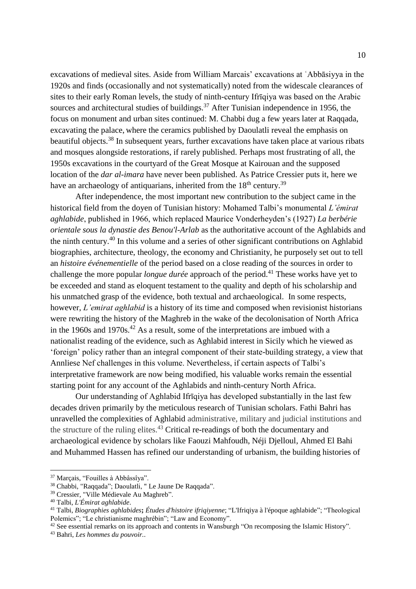excavations of medieval sites. Aside from William Marcais' excavations at ʿAbbāsiyya in the 1920s and finds (occasionally and not systematically) noted from the widescale clearances of sites to their early Roman levels, the study of ninth-century Ifrīqiya was based on the Arabic sources and architectural studies of buildings.<sup>37</sup> After Tunisian independence in 1956, the focus on monument and urban sites continued: M. Chabbi dug a few years later at Raqqada, excavating the palace, where the ceramics published by Daoulatli reveal the emphasis on beautiful objects.<sup>38</sup> In subsequent years, further excavations have taken place at various ribats and mosques alongside restorations, if rarely published. Perhaps most frustrating of all, the 1950s excavations in the courtyard of the Great Mosque at Kairouan and the supposed location of the *dar al-imara* have never been published. As Patrice Cressier puts it, here we have an archaeology of antiquarians, inherited from the  $18<sup>th</sup>$  century.<sup>39</sup>

After independence, the most important new contribution to the subject came in the historical field from the doyen of Tunisian history: Mohamed Talbi's monumental *L'émirat aghlabide*, published in 1966, which replaced Maurice Vonderheyden's (1927) *La berbérie orientale sous la dynastie des Benou'l-Arlab* as the authoritative account of the Aghlabids and the ninth century.<sup>40</sup> In this volume and a series of other significant contributions on Aghlabid biographies, architecture, theology, the economy and Christianity, he purposely set out to tell an *histoire événementielle* of the period based on a close reading of the sources in order to challenge the more popular *longue durée* approach of the period.<sup>41</sup> These works have yet to be exceeded and stand as eloquent testament to the quality and depth of his scholarship and his unmatched grasp of the evidence, both textual and archaeological. In some respects, however, *L'emirat aghlabid* is a history of its time and composed when revisionist historians were rewriting the history of the Maghreb in the wake of the decolonisation of North Africa in the 1960s and 1970s.<sup>42</sup> As a result, some of the interpretations are imbued with a nationalist reading of the evidence, such as Aghlabid interest in Sicily which he viewed as 'foreign' policy rather than an integral component of their state-building strategy, a view that Annliese Nef challenges in this volume. Nevertheless, if certain aspects of Talbi's interpretative framework are now being modified, his valuable works remain the essential starting point for any account of the Aghlabids and ninth-century North Africa.

Our understanding of Aghlabid Ifrīqiya has developed substantially in the last few decades driven primarily by the meticulous research of Tunisian scholars. Fathi Bahri has unravelled the complexities of Aghlabid administrative, military and judicial institutions and the structure of the ruling elites.<sup>43</sup> Critical re-readings of both the documentary and archaeological evidence by scholars like Faouzi Mahfoudh, Néji Djelloul, Ahmed El Bahi and Muhammed Hassen has refined our understanding of urbanism, the building histories of

<sup>37</sup> Marçais, "Fouilles à Abbâssîya".

<sup>38</sup> Chabbi, "Raqqada"; Daoulatli, " Le Jaune De Raqqada".

<sup>39</sup> Cressier, "Ville Médievale Au Maghreb".

<sup>40</sup> Talbi, *L'Émirat aghlabide*.

<sup>41</sup> Talbi, *Biographies aghlabides***;** *Études d'histoire ifriqiyenne*; "L'Ifriqiya à l'époque aghlabide"; "Theological Polemics"; "Le christianisme maghrébin"; "Law and Economy".

<sup>42</sup> See essential remarks on its approach and contents in Wansburgh "On recomposing the Islamic History".

<sup>43</sup> Bahri, *Les hommes du pouvoir.*.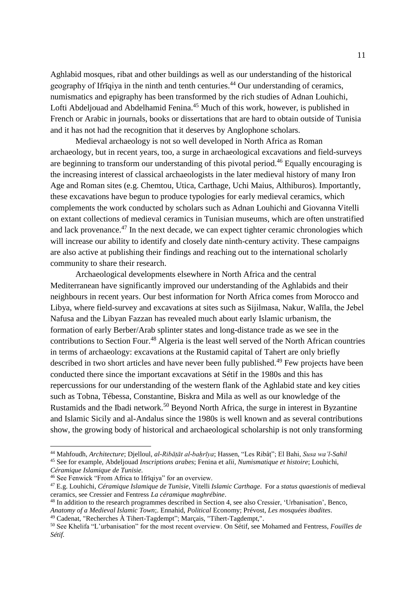Aghlabid mosques, ribat and other buildings as well as our understanding of the historical geography of Ifrīqiya in the ninth and tenth centuries. <sup>44</sup> Our understanding of ceramics, numismatics and epigraphy has been transformed by the rich studies of Adnan Louhichi, Lofti Abdeljouad and Abdelhamid Fenina.<sup>45</sup> Much of this work, however, is published in French or Arabic in journals, books or dissertations that are hard to obtain outside of Tunisia and it has not had the recognition that it deserves by Anglophone scholars.

Medieval archaeology is not so well developed in North Africa as Roman archaeology, but in recent years, too, a surge in archaeological excavations and field-surveys are beginning to transform our understanding of this pivotal period.<sup>46</sup> Equally encouraging is the increasing interest of classical archaeologists in the later medieval history of many Iron Age and Roman sites (e.g. Chemtou, Utica, Carthage, Uchi Maius, Althiburos). Importantly, these excavations have begun to produce typologies for early medieval ceramics, which complements the work conducted by scholars such as Adnan Louhichi and Giovanna Vitelli on extant collections of medieval ceramics in Tunisian museums, which are often unstratified and lack provenance.<sup>47</sup> In the next decade, we can expect tighter ceramic chronologies which will increase our ability to identify and closely date ninth-century activity. These campaigns are also active at publishing their findings and reaching out to the international scholarly community to share their research.

Archaeological developments elsewhere in North Africa and the central Mediterranean have significantly improved our understanding of the Aghlabids and their neighbours in recent years. Our best information for North Africa comes from Morocco and Libya, where field-survey and excavations at sites such as Sijilmasa, Nakur, Walīla, the Jebel Nafusa and the Libyan Fazzan has revealed much about early Islamic urbanism, the formation of early Berber/Arab splinter states and long-distance trade as we see in the contributions to Section Four.<sup>48</sup> Algeria is the least well served of the North African countries in terms of archaeology: excavations at the Rustamid capital of Tahert are only briefly described in two short articles and have never been fully published.<sup>49</sup> Few projects have been conducted there since the important excavations at Sétif in the 1980s and this has repercussions for our understanding of the western flank of the Aghlabid state and key cities such as Tobna, Tébessa, Constantine, Biskra and Mila as well as our knowledge of the Rustamids and the Ibadi network.<sup>50</sup> Beyond North Africa, the surge in interest in Byzantine and Islamic Sicily and al-Andalus since the 1980s is well known and as several contributions show, the growing body of historical and archaeological scholarship is not only transforming

<sup>44</sup> Mahfoudh, *Architecture*; Djelloul, *al-Ribāṭāt al-baḥrīya*; Hassen, "Les Ribâṭ"; El Bahi, *Susa wa'l-Sahil*

<sup>45</sup> See for example, Abdeljouad *Inscriptions arabes*; Fenina et a*lii*, *Numismatique et histoire*; Louhichi, *Céramique Islamique de Tunisie.* 

<sup>46</sup> See Fenwick "From Africa to Ifrīqiya" for an overview.

<sup>47</sup> E.g. Louhichi, *Céramique Islamique de Tunisie*, Vitelli *Islamic Carthage*. For a *status quaestionis* of medieval ceramics, see Cressier and Fentress *La céramique maghrébine*.

<sup>48</sup> In addition to the research programmes described in Section 4, see also Cressier, 'Urbanisation', Benco, *Anatomy of a Medieval Islamic Town*;. Ennahid, *Political* Economy; Prévost, *Les mosquées ibadites*. <sup>49</sup> Cadenat, "Recherches À Tihert-Tagdempt"; Marçais, "Tihert-Tagdempt,".

<sup>50</sup> See Khelifa "L'urbanisation" for the most recent overview. On Sétif, see Mohamed and Fentress, *Fouilles de Sétif*.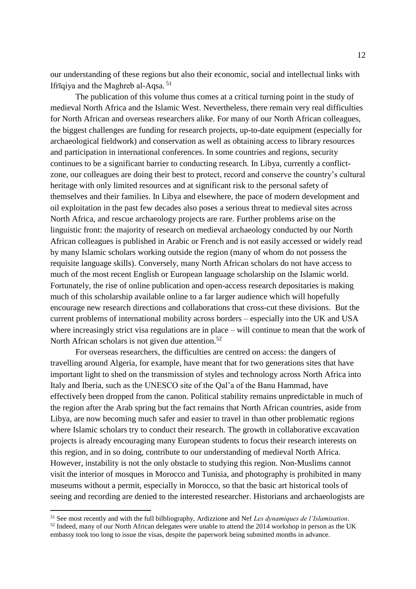our understanding of these regions but also their economic, social and intellectual links with Ifrīqiya and the Maghreb al-Aqsa. <sup>51</sup>

The publication of this volume thus comes at a critical turning point in the study of medieval North Africa and the Islamic West. Nevertheless, there remain very real difficulties for North African and overseas researchers alike. For many of our North African colleagues, the biggest challenges are funding for research projects, up-to-date equipment (especially for archaeological fieldwork) and conservation as well as obtaining access to library resources and participation in international conferences. In some countries and regions, security continues to be a significant barrier to conducting research. In Libya, currently a conflictzone, our colleagues are doing their best to protect, record and conserve the country's cultural heritage with only limited resources and at significant risk to the personal safety of themselves and their families. In Libya and elsewhere, the pace of modern development and oil exploitation in the past few decades also poses a serious threat to medieval sites across North Africa, and rescue archaeology projects are rare. Further problems arise on the linguistic front: the majority of research on medieval archaeology conducted by our North African colleagues is published in Arabic or French and is not easily accessed or widely read by many Islamic scholars working outside the region (many of whom do not possess the requisite language skills). Conversely, many North African scholars do not have access to much of the most recent English or European language scholarship on the Islamic world. Fortunately, the rise of online publication and open-access research depositaries is making much of this scholarship available online to a far larger audience which will hopefully encourage new research directions and collaborations that cross-cut these divisions. But the current problems of international mobility across borders – especially into the UK and USA where increasingly strict visa regulations are in place – will continue to mean that the work of North African scholars is not given due attention.<sup>52</sup>

For overseas researchers, the difficulties are centred on access: the dangers of travelling around Algeria, for example, have meant that for two generations sites that have important light to shed on the transmission of styles and technology across North Africa into Italy and Iberia, such as the UNESCO site of the Qal'a of the Banu Hammad, have effectively been dropped from the canon. Political stability remains unpredictable in much of the region after the Arab spring but the fact remains that North African countries, aside from Libya, are now becoming much safer and easier to travel in than other problematic regions where Islamic scholars try to conduct their research. The growth in collaborative excavation projects is already encouraging many European students to focus their research interests on this region, and in so doing, contribute to our understanding of medieval North Africa. However, instability is not the only obstacle to studying this region. Non-Muslims cannot visit the interior of mosques in Morocco and Tunisia, and photography is prohibited in many museums without a permit, especially in Morocco, so that the basic art historical tools of seeing and recording are denied to the interested researcher. Historians and archaeologists are

<sup>51</sup> See most recently and with the full bilbliography, Ardizzione and Nef *Les dynamiques de l'Islamisation*. <sup>52</sup> Indeed, many of our North African delegates were unable to attend the 2014 workshop in person as the UK embassy took too long to issue the visas, despite the paperwork being submitted months in advance.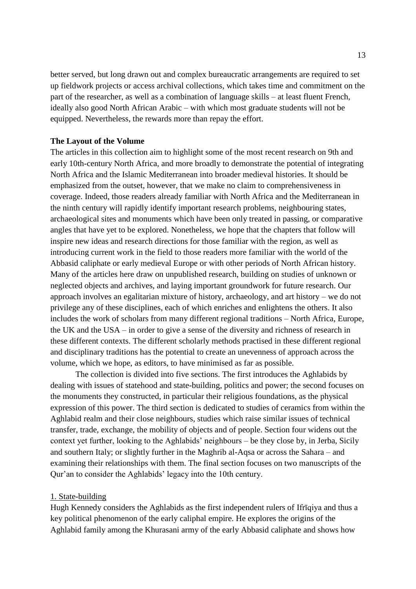better served, but long drawn out and complex bureaucratic arrangements are required to set up fieldwork projects or access archival collections, which takes time and commitment on the part of the researcher, as well as a combination of language skills – at least fluent French, ideally also good North African Arabic – with which most graduate students will not be equipped. Nevertheless, the rewards more than repay the effort.

#### **The Layout of the Volume**

The articles in this collection aim to highlight some of the most recent research on 9th and early 10th-century North Africa, and more broadly to demonstrate the potential of integrating North Africa and the Islamic Mediterranean into broader medieval histories. It should be emphasized from the outset, however, that we make no claim to comprehensiveness in coverage. Indeed, those readers already familiar with North Africa and the Mediterranean in the ninth century will rapidly identify important research problems, neighbouring states, archaeological sites and monuments which have been only treated in passing, or comparative angles that have yet to be explored. Nonetheless, we hope that the chapters that follow will inspire new ideas and research directions for those familiar with the region, as well as introducing current work in the field to those readers more familiar with the world of the Abbasid caliphate or early medieval Europe or with other periods of North African history. Many of the articles here draw on unpublished research, building on studies of unknown or neglected objects and archives, and laying important groundwork for future research. Our approach involves an egalitarian mixture of history, archaeology, and art history – we do not privilege any of these disciplines, each of which enriches and enlightens the others. It also includes the work of scholars from many different regional traditions – North Africa, Europe, the UK and the USA – in order to give a sense of the diversity and richness of research in these different contexts. The different scholarly methods practised in these different regional and disciplinary traditions has the potential to create an unevenness of approach across the volume, which we hope, as editors, to have minimised as far as possible.

The collection is divided into five sections. The first introduces the Aghlabids by dealing with issues of statehood and state-building, politics and power; the second focuses on the monuments they constructed, in particular their religious foundations, as the physical expression of this power. The third section is dedicated to studies of ceramics from within the Aghlabid realm and their close neighbours, studies which raise similar issues of technical transfer, trade, exchange, the mobility of objects and of people. Section four widens out the context yet further, looking to the Aghlabids' neighbours – be they close by, in Jerba, Sicily and southern Italy; or slightly further in the Maghrib al-Aqsa or across the Sahara – and examining their relationships with them. The final section focuses on two manuscripts of the Qur'an to consider the Aghlabids' legacy into the 10th century.

#### 1. State-building

Hugh Kennedy considers the Aghlabids as the first independent rulers of Ifrīqiya and thus a key political phenomenon of the early caliphal empire. He explores the origins of the Aghlabid family among the Khurasani army of the early Abbasid caliphate and shows how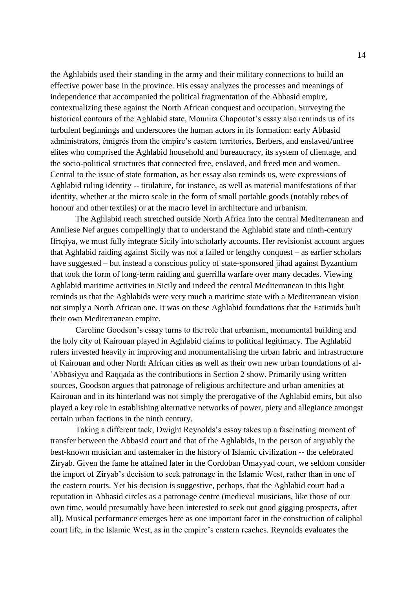the Aghlabids used their standing in the army and their military connections to build an effective power base in the province. His essay analyzes the processes and meanings of independence that accompanied the political fragmentation of the Abbasid empire, contextualizing these against the North African conquest and occupation. Surveying the historical contours of the Aghlabid state, Mounira Chapoutot's essay also reminds us of its turbulent beginnings and underscores the human actors in its formation: early Abbasid administrators, émigrés from the empire's eastern territories, Berbers, and enslaved/unfree elites who comprised the Aghlabid household and bureaucracy, its system of clientage, and the socio-political structures that connected free, enslaved, and freed men and women. Central to the issue of state formation, as her essay also reminds us, were expressions of Aghlabid ruling identity -- titulature, for instance, as well as material manifestations of that identity, whether at the micro scale in the form of small portable goods (notably robes of honour and other textiles) or at the macro level in architecture and urbanism.

The Aghlabid reach stretched outside North Africa into the central Mediterranean and Annliese Nef argues compellingly that to understand the Aghlabid state and ninth-century Ifrīqiya, we must fully integrate Sicily into scholarly accounts. Her revisionist account argues that Aghlabid raiding against Sicily was not a failed or lengthy conquest – as earlier scholars have suggested – but instead a conscious policy of state-sponsored jihad against Byzantium that took the form of long-term raiding and guerrilla warfare over many decades. Viewing Aghlabid maritime activities in Sicily and indeed the central Mediterranean in this light reminds us that the Aghlabids were very much a maritime state with a Mediterranean vision not simply a North African one. It was on these Aghlabid foundations that the Fatimids built their own Mediterranean empire.

Caroline Goodson's essay turns to the role that urbanism, monumental building and the holy city of Kairouan played in Aghlabid claims to political legitimacy. The Aghlabid rulers invested heavily in improving and monumentalising the urban fabric and infrastructure of Kairouan and other North African cities as well as their own new urban foundations of al-ʿAbbāsiyya and Raqqada as the contributions in Section 2 show. Primarily using written sources, Goodson argues that patronage of religious architecture and urban amenities at Kairouan and in its hinterland was not simply the prerogative of the Aghlabid emirs, but also played a key role in establishing alternative networks of power, piety and allegiance amongst certain urban factions in the ninth century.

Taking a different tack, Dwight Reynolds's essay takes up a fascinating moment of transfer between the Abbasid court and that of the Aghlabids, in the person of arguably the best-known musician and tastemaker in the history of Islamic civilization -- the celebrated Ziryab. Given the fame he attained later in the Cordoban Umayyad court, we seldom consider the import of Ziryab's decision to seek patronage in the Islamic West, rather than in one of the eastern courts. Yet his decision is suggestive, perhaps, that the Aghlabid court had a reputation in Abbasid circles as a patronage centre (medieval musicians, like those of our own time, would presumably have been interested to seek out good gigging prospects, after all). Musical performance emerges here as one important facet in the construction of caliphal court life, in the Islamic West, as in the empire's eastern reaches. Reynolds evaluates the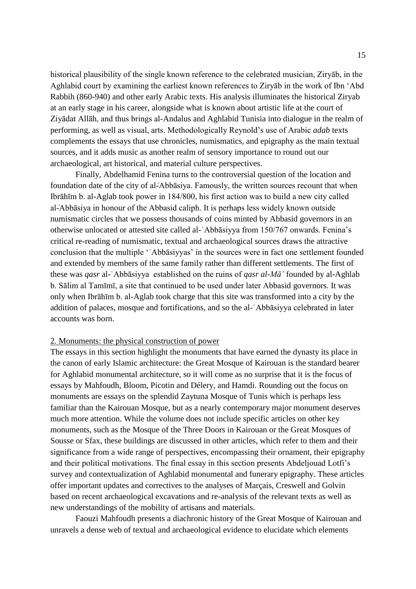historical plausibility of the single known reference to the celebrated musician, Ziryāb, in the Aghlabid court by examining the earliest known references to Ziryāb in the work of Ibn 'Abd Rabbih (860-940) and other early Arabic texts. His analysis illuminates the historical Ziryab at an early stage in his career, alongside what is known about artistic life at the court of Ziyādat Allāh, and thus brings al-Andalus and Aghlabid Tunisia into dialogue in the realm of performing, as well as visual, arts. Methodologically Reynold's use of Arabic *adab* texts complements the essays that use chronicles, numismatics, and epigraphy as the main textual sources, and it adds music as another realm of sensory importance to round out our archaeological, art historical, and material culture perspectives.

Finally, Abdelhamid Fenina turns to the controversial question of the location and foundation date of the city of al-`Abbāsiya. Famously, the written sources recount that when Ibrāhīm b. al-Aglab took power in 184/800, his first action was to build a new city called al-Abbāsiya in honour of the Abbasid caliph. It is perhaps less widely known outside numismatic circles that we possess thousands of coins minted by Abbasid governors in an otherwise unlocated or attested site called al-ʿAbbāsiyya from 150/767 onwards. Fenina's critical re-reading of numismatic, textual and archaeological sources draws the attractive conclusion that the multiple 'ʿAbbāsiyyas' in the sources were in fact one settlement founded and extended by members of the same family rather than different settlements. The first of these was *qasr* al-ʿAbbāsiyya established on the ruins of *qasr al-Mā'* founded by al-Aghlab b. Sālim al Tamīmī, a site that continued to be used under later Abbasid governors. It was only when Ibrāhīm b. al-Aglab took charge that this site was transformed into a city by the addition of palaces, mosque and fortifications, and so the al-ʿAbbāsiyya celebrated in later accounts was born.

#### 2. Monuments: the physical construction of power

The essays in this section highlight the monuments that have earned the dynasty its place in the canon of early Islamic architecture: the Great Mosque of Kairouan is the standard bearer for Aghlabid monumental architecture, so it will come as no surprise that it is the focus of essays by Mahfoudh, Bloom, Picotin and Délery, and Hamdi. Rounding out the focus on monuments are essays on the splendid Zaytuna Mosque of Tunis which is perhaps less familiar than the Kairouan Mosque, but as a nearly contemporary major monument deserves much more attention. While the volume does not include specific articles on other key monuments, such as the Mosque of the Three Doors in Kairouan or the Great Mosques of Sousse or Sfax, these buildings are discussed in other articles, which refer to them and their significance from a wide range of perspectives, encompassing their ornament, their epigraphy and their political motivations. The final essay in this section presents Abdeljouad Lotfi's survey and contextualization of Aghlabid monumental and funerary epigraphy. These articles offer important updates and correctives to the analyses of Marçais, Creswell and Golvin based on recent archaeological excavations and re-analysis of the relevant texts as well as new understandings of the mobility of artisans and materials.

Faouzi Mahfoudh presents a diachronic history of the Great Mosque of Kairouan and unravels a dense web of textual and archaeological evidence to elucidate which elements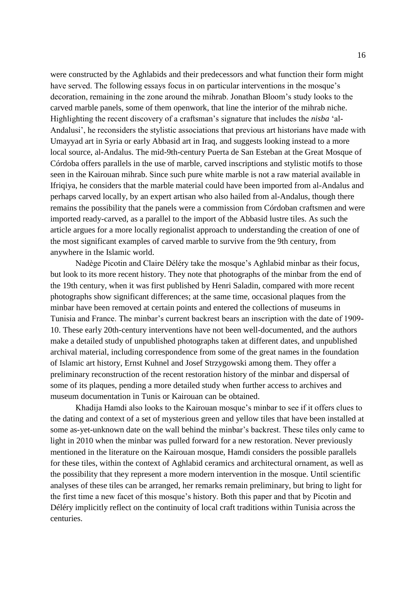were constructed by the Aghlabids and their predecessors and what function their form might have served. The following essays focus in on particular interventions in the mosque's decoration, remaining in the zone around the mihrab. Jonathan Bloom's study looks to the carved marble panels, some of them openwork, that line the interior of the mihrab niche. Highlighting the recent discovery of a craftsman's signature that includes the *nisba* 'al-Andalusi', he reconsiders the stylistic associations that previous art historians have made with Umayyad art in Syria or early Abbasid art in Iraq, and suggests looking instead to a more local source, al-Andalus. The mid-9th-century Puerta de San Esteban at the Great Mosque of Córdoba offers parallels in the use of marble, carved inscriptions and stylistic motifs to those seen in the Kairouan mihrab. Since such pure white marble is not a raw material available in Ifriqiya, he considers that the marble material could have been imported from al-Andalus and perhaps carved locally, by an expert artisan who also hailed from al-Andalus, though there remains the possibility that the panels were a commission from Córdoban craftsmen and were imported ready-carved, as a parallel to the import of the Abbasid lustre tiles. As such the article argues for a more locally regionalist approach to understanding the creation of one of the most significant examples of carved marble to survive from the 9th century, from anywhere in the Islamic world.

Nadège Picotin and Claire Déléry take the mosque's Aghlabid minbar as their focus, but look to its more recent history. They note that photographs of the minbar from the end of the 19th century, when it was first published by Henri Saladin, compared with more recent photographs show significant differences; at the same time, occasional plaques from the minbar have been removed at certain points and entered the collections of museums in Tunisia and France. The minbar's current backrest bears an inscription with the date of 1909- 10. These early 20th-century interventions have not been well-documented, and the authors make a detailed study of unpublished photographs taken at different dates, and unpublished archival material, including correspondence from some of the great names in the foundation of Islamic art history, Ernst Kuhnel and Josef Strzygowski among them. They offer a preliminary reconstruction of the recent restoration history of the minbar and dispersal of some of its plaques, pending a more detailed study when further access to archives and museum documentation in Tunis or Kairouan can be obtained.

Khadija Hamdi also looks to the Kairouan mosque's minbar to see if it offers clues to the dating and context of a set of mysterious green and yellow tiles that have been installed at some as-yet-unknown date on the wall behind the minbar's backrest. These tiles only came to light in 2010 when the minbar was pulled forward for a new restoration. Never previously mentioned in the literature on the Kairouan mosque, Hamdi considers the possible parallels for these tiles, within the context of Aghlabid ceramics and architectural ornament, as well as the possibility that they represent a more modern intervention in the mosque. Until scientific analyses of these tiles can be arranged, her remarks remain preliminary, but bring to light for the first time a new facet of this mosque's history. Both this paper and that by Picotin and Déléry implicitly reflect on the continuity of local craft traditions within Tunisia across the centuries.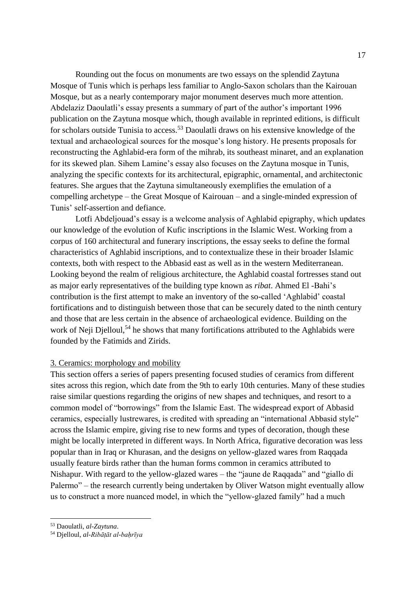Rounding out the focus on monuments are two essays on the splendid Zaytuna Mosque of Tunis which is perhaps less familiar to Anglo-Saxon scholars than the Kairouan Mosque, but as a nearly contemporary major monument deserves much more attention. Abdelaziz Daoulatli's essay presents a summary of part of the author's important 1996 publication on the Zaytuna mosque which, though available in reprinted editions, is difficult for scholars outside Tunisia to access.<sup>53</sup> Daoulatli draws on his extensive knowledge of the textual and archaeological sources for the mosque's long history. He presents proposals for reconstructing the Aghlabid-era form of the mihrab, its southeast minaret, and an explanation for its skewed plan. Sihem Lamine's essay also focuses on the Zaytuna mosque in Tunis, analyzing the specific contexts for its architectural, epigraphic, ornamental, and architectonic features. She argues that the Zaytuna simultaneously exemplifies the emulation of a compelling archetype – the Great Mosque of Kairouan – and a single-minded expression of Tunis' self-assertion and defiance.

Lotfi Abdeljouad's essay is a welcome analysis of Aghlabid epigraphy, which updates our knowledge of the evolution of Kufic inscriptions in the Islamic West. Working from a corpus of 160 architectural and funerary inscriptions, the essay seeks to define the formal characteristics of Aghlabid inscriptions, and to contextualize these in their broader Islamic contexts, both with respect to the Abbasid east as well as in the western Mediterranean. Looking beyond the realm of religious architecture, the Aghlabid coastal fortresses stand out as major early representatives of the building type known as *ribat*. Ahmed El -Bahi's contribution is the first attempt to make an inventory of the so-called 'Aghlabid' coastal fortifications and to distinguish between those that can be securely dated to the ninth century and those that are less certain in the absence of archaeological evidence. Building on the work of Neji Djelloul,<sup>54</sup> he shows that many fortifications attributed to the Aghlabids were founded by the Fatimids and Zirids.

#### 3. Ceramics: morphology and mobility

This section offers a series of papers presenting focused studies of ceramics from different sites across this region, which date from the 9th to early 10th centuries. Many of these studies raise similar questions regarding the origins of new shapes and techniques, and resort to a common model of "borrowings" from the Islamic East. The widespread export of Abbasid ceramics, especially lustrewares, is credited with spreading an "international Abbasid style" across the Islamic empire, giving rise to new forms and types of decoration, though these might be locally interpreted in different ways. In North Africa, figurative decoration was less popular than in Iraq or Khurasan, and the designs on yellow-glazed wares from Raqqada usually feature birds rather than the human forms common in ceramics attributed to Nishapur. With regard to the yellow-glazed wares – the "jaune de Raqqada" and "giallo di Palermo" – the research currently being undertaken by Oliver Watson might eventually allow us to construct a more nuanced model, in which the "yellow-glazed family" had a much

<sup>53</sup> Daoulatli, *al-Zaytuna*.

<sup>54</sup> Djelloul, *al-Ribāṭāt al-baḥrīya*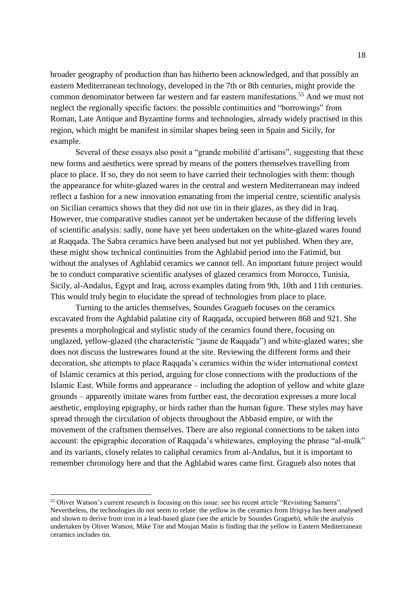broader geography of production than has hitherto been acknowledged, and that possibly an eastern Mediterranean technology, developed in the 7th or 8th centuries, might provide the common denominator between far western and far eastern manifestations.<sup>55</sup> And we must not neglect the regionally specific factors: the possible continuities and "borrowings" from Roman, Late Antique and Byzantine forms and technologies, already widely practised in this region, which might be manifest in similar shapes being seen in Spain and Sicily, for example.

Several of these essays also posit a "grande mobilité d'artisans", suggesting that these new forms and aesthetics were spread by means of the potters themselves travelling from place to place. If so, they do not seem to have carried their technologies with them: though the appearance for white-glazed wares in the central and western Mediterranean may indeed reflect a fashion for a new innovation emanating from the imperial centre, scientific analysis on Sicilian ceramics shows that they did not use tin in their glazes, as they did in Iraq. However, true comparative studies cannot yet be undertaken because of the differing levels of scientific analysis: sadly, none have yet been undertaken on the white-glazed wares found at Raqqada. The Sabra ceramics have been analysed but not yet published. When they are, these might show technical continuities from the Aghlabid period into the Fatimid, but without the analyses of Aghlabid ceramics we cannot tell. An important future project would be to conduct comparative scientific analyses of glazed ceramics from Morocco, Tunisia, Sicily, al-Andalus, Egypt and Iraq, across examples dating from 9th, 10th and 11th centuries. This would truly begin to elucidate the spread of technologies from place to place.

Turning to the articles themselves, Soundes Gragueb focuses on the ceramics excavated from the Aghlabid palatine city of Raqqada, occupied between 868 and 921. She presents a morphological and stylistic study of the ceramics found there, focusing on unglazed, yellow-glazed (the characteristic "jaune de Raqqada") and white-glazed wares; she does not discuss the lustrewares found at the site. Reviewing the different forms and their decoration, she attempts to place Raqqada's ceramics within the wider international context of Islamic ceramics at this period, arguing for close connections with the productions of the Islamic East. While forms and appearance – including the adoption of yellow and white glaze grounds – apparently imitate wares from further east, the decoration expresses a more local aesthetic, employing epigraphy, or birds rather than the human figure. These styles may have spread through the circulation of objects throughout the Abbasid empire, or with the movement of the craftsmen themselves. There are also regional connections to be taken into account: the epigraphic decoration of Raqqada's whitewares, employing the phrase "al-mulk" and its variants, closely relates to caliphal ceramics from al-Andalus, but it is important to remember chronology here and that the Aghlabid wares came first. Gragueb also notes that

<sup>55</sup> Oliver Watson's current research is focusing on this issue: see his recent article "Revisiting Samarra". Nevertheless, the technologies do not seem to relate: the yellow in the ceramics from Ifriqiya has been analysed and shown to derive from iron in a lead-based glaze (see the article by Soundes Gragueb), while the analysis undertaken by Oliver Watson, Mike Tite and Moujan Matin is finding that the yellow in Eastern Mediterranean ceramics includes tin.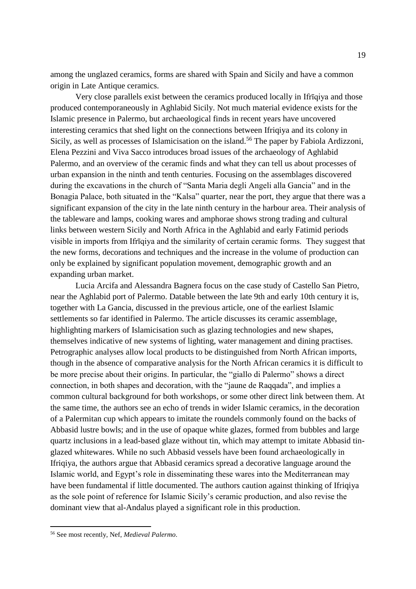among the unglazed ceramics, forms are shared with Spain and Sicily and have a common origin in Late Antique ceramics.

Very close parallels exist between the ceramics produced locally in Ifrīqiya and those produced contemporaneously in Aghlabid Sicily. Not much material evidence exists for the Islamic presence in Palermo, but archaeological finds in recent years have uncovered interesting ceramics that shed light on the connections between Ifriqiya and its colony in Sicily, as well as processes of Islamicisation on the island.<sup>56</sup> The paper by Fabiola Ardizzoni, Elena Pezzini and Viva Sacco introduces broad issues of the archaeology of Aghlabid Palermo, and an overview of the ceramic finds and what they can tell us about processes of urban expansion in the ninth and tenth centuries. Focusing on the assemblages discovered during the excavations in the church of "Santa Maria degli Angeli alla Gancia" and in the Bonagia Palace, both situated in the "Kalsa" quarter, near the port, they argue that there was a significant expansion of the city in the late ninth century in the harbour area. Their analysis of the tableware and lamps, cooking wares and amphorae shows strong trading and cultural links between western Sicily and North Africa in the Aghlabid and early Fatimid periods visible in imports from Ifrīqiya and the similarity of certain ceramic forms. They suggest that the new forms, decorations and techniques and the increase in the volume of production can only be explained by significant population movement, demographic growth and an expanding urban market.

Lucia Arcifa and Alessandra Bagnera focus on the case study of Castello San Pietro, near the Aghlabid port of Palermo. Datable between the late 9th and early 10th century it is, together with La Gancia, discussed in the previous article, one of the earliest Islamic settlements so far identified in Palermo. The article discusses its ceramic assemblage, highlighting markers of Islamicisation such as glazing technologies and new shapes, themselves indicative of new systems of lighting, water management and dining practises. Petrographic analyses allow local products to be distinguished from North African imports, though in the absence of comparative analysis for the North African ceramics it is difficult to be more precise about their origins. In particular, the "giallo di Palermo" shows a direct connection, in both shapes and decoration, with the "jaune de Raqqada", and implies a common cultural background for both workshops, or some other direct link between them. At the same time, the authors see an echo of trends in wider Islamic ceramics, in the decoration of a Palermitan cup which appears to imitate the roundels commonly found on the backs of Abbasid lustre bowls; and in the use of opaque white glazes, formed from bubbles and large quartz inclusions in a lead-based glaze without tin, which may attempt to imitate Abbasid tinglazed whitewares. While no such Abbasid vessels have been found archaeologically in Ifriqiya, the authors argue that Abbasid ceramics spread a decorative language around the Islamic world, and Egypt's role in disseminating these wares into the Mediterranean may have been fundamental if little documented. The authors caution against thinking of Ifriqiya as the sole point of reference for Islamic Sicily's ceramic production, and also revise the dominant view that al-Andalus played a significant role in this production.

<sup>56</sup> See most recently, Nef, *Medieval Palermo*.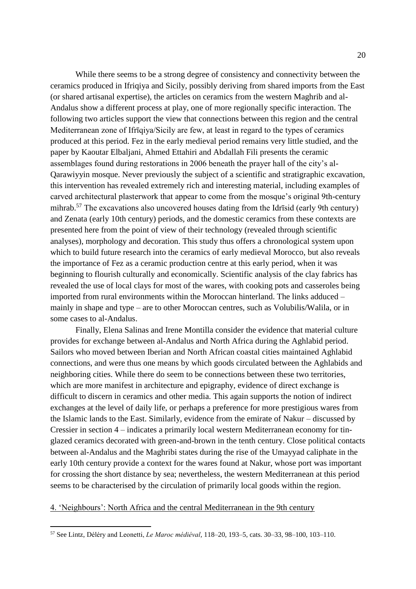While there seems to be a strong degree of consistency and connectivity between the ceramics produced in Ifriqiya and Sicily, possibly deriving from shared imports from the East (or shared artisanal expertise), the articles on ceramics from the western Maghrib and al-Andalus show a different process at play, one of more regionally specific interaction. The following two articles support the view that connections between this region and the central Mediterranean zone of Ifrīqiya/Sicily are few, at least in regard to the types of ceramics produced at this period. Fez in the early medieval period remains very little studied, and the paper by Kaoutar Elbaljani, Ahmed Ettahiri and Abdallah Fili presents the ceramic assemblages found during restorations in 2006 beneath the prayer hall of the city's al-Qarawiyyin mosque. Never previously the subject of a scientific and stratigraphic excavation, this intervention has revealed extremely rich and interesting material, including examples of carved architectural plasterwork that appear to come from the mosque's original 9th-century mihrab.<sup>57</sup> The excavations also uncovered houses dating from the Idrīsid (early 9th century) and Zenata (early 10th century) periods, and the domestic ceramics from these contexts are presented here from the point of view of their technology (revealed through scientific analyses), morphology and decoration. This study thus offers a chronological system upon which to build future research into the ceramics of early medieval Morocco, but also reveals the importance of Fez as a ceramic production centre at this early period, when it was beginning to flourish culturally and economically. Scientific analysis of the clay fabrics has revealed the use of local clays for most of the wares, with cooking pots and casseroles being imported from rural environments within the Moroccan hinterland. The links adduced – mainly in shape and type – are to other Moroccan centres, such as Volubilis/Walila, or in some cases to al-Andalus.

Finally, Elena Salinas and Irene Montilla consider the evidence that material culture provides for exchange between al-Andalus and North Africa during the Aghlabid period. Sailors who moved between Iberian and North African coastal cities maintained Aghlabid connections, and were thus one means by which goods circulated between the Aghlabids and neighboring cities. While there do seem to be connections between these two territories, which are more manifest in architecture and epigraphy, evidence of direct exchange is difficult to discern in ceramics and other media. This again supports the notion of indirect exchanges at the level of daily life, or perhaps a preference for more prestigious wares from the Islamic lands to the East. Similarly, evidence from the emirate of Nakur – discussed by Cressier in section 4 – indicates a primarily local western Mediterranean economy for tinglazed ceramics decorated with green-and-brown in the tenth century. Close political contacts between al-Andalus and the Maghribi states during the rise of the Umayyad caliphate in the early 10th century provide a context for the wares found at Nakur, whose port was important for crossing the short distance by sea; nevertheless, the western Mediterranean at this period seems to be characterised by the circulation of primarily local goods within the region.

## 4. 'Neighbours': North Africa and the central Mediterranean in the 9th century

<sup>57</sup> See Lintz, Déléry and Leonetti, *Le Maroc médiéval,* 118–20, 193–5, cats. 30–33, 98–100, 103–110.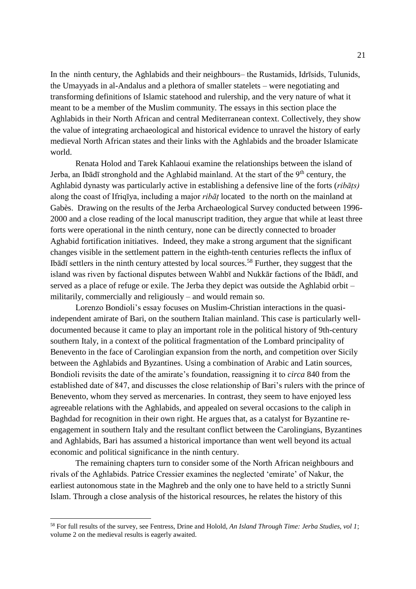In the ninth century, the Aghlabids and their neighbours– the Rustamids, Idrīsids, Tulunids, the Umayyads in al-Andalus and a plethora of smaller statelets – were negotiating and transforming definitions of Islamic statehood and rulership, and the very nature of what it meant to be a member of the Muslim community. The essays in this section place the Aghlabids in their North African and central Mediterranean context. Collectively, they show the value of integrating archaeological and historical evidence to unravel the history of early medieval North African states and their links with the Aghlabids and the broader Islamicate world.

Renata Holod and Tarek Kahlaoui examine the relationships between the island of Jerba, an Ibādī stronghold and the Aghlabid mainland. At the start of the 9<sup>th</sup> century, the Aghlabid dynasty was particularly active in establishing a defensive line of the forts (*ribāṭs)* along the coast of Ifriqīya, including a major *ribāṭ* located to the north on the mainland at Gabès. Drawing on the results of the Jerba Archaeological Survey conducted between 1996- 2000 and a close reading of the local manuscript tradition, they argue that while at least three forts were operational in the ninth century, none can be directly connected to broader Aghabid fortification initiatives. Indeed, they make a strong argument that the significant changes visible in the settlement pattern in the eighth-tenth centuries reflects the influx of Ibādī settlers in the ninth century attested by local sources.<sup>58</sup> Further, they suggest that the island was riven by factional disputes between Wahbī and Nukkār factions of the Ibādī, and served as a place of refuge or exile. The Jerba they depict was outside the Aghlabid orbit – militarily, commercially and religiously – and would remain so.

Lorenzo Bondioli's essay focuses on Muslim-Christian interactions in the quasiindependent amirate of Bari, on the southern Italian mainland. This case is particularly welldocumented because it came to play an important role in the political history of 9th-century southern Italy, in a context of the political fragmentation of the Lombard principality of Benevento in the face of Carolingian expansion from the north, and competition over Sicily between the Aghlabids and Byzantines. Using a combination of Arabic and Latin sources, Bondioli revisits the date of the amirate's foundation, reassigning it to *circa* 840 from the established date of 847, and discusses the close relationship of Bari's rulers with the prince of Benevento, whom they served as mercenaries. In contrast, they seem to have enjoyed less agreeable relations with the Aghlabids, and appealed on several occasions to the caliph in Baghdad for recognition in their own right. He argues that, as a catalyst for Byzantine reengagement in southern Italy and the resultant conflict between the Carolingians, Byzantines and Aghlabids, Bari has assumed a historical importance than went well beyond its actual economic and political significance in the ninth century.

The remaining chapters turn to consider some of the North African neighbours and rivals of the Aghlabids. Patrice Cressier examines the neglected 'emirate' of Nakur, the earliest autonomous state in the Maghreb and the only one to have held to a strictly Sunni Islam. Through a close analysis of the historical resources, he relates the history of this

<sup>58</sup> For full results of the survey, see Fentress, Drine and Holold, *An Island Through Time: Jerba Studies, vol 1*; volume 2 on the medieval results is eagerly awaited.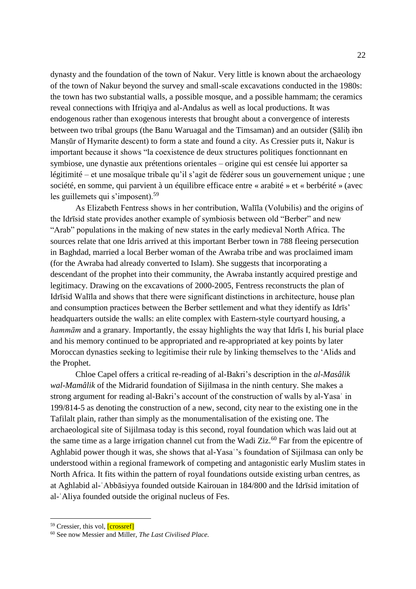dynasty and the foundation of the town of Nakur. Very little is known about the archaeology of the town of Nakur beyond the survey and small-scale excavations conducted in the 1980s: the town has two substantial walls, a possible mosque, and a possible hammam; the ceramics reveal connections with Ifriqiya and al-Andalus as well as local productions. It was endogenous rather than exogenous interests that brought about a convergence of interests between two tribal groups (the Banu Waruagal and the Timsaman) and an outsider (Ṣāliḥ ibn Manṣūr of Hymarite descent) to form a state and found a city. As Cressier puts it, Nakur is important because it shows "la coexistence de deux structures politiques fonctionnant en symbiose, une dynastie aux prétentions orientales – origine qui est censée lui apporter sa légitimité – et une mosaïque tribale qu'il s'agit de fédérer sous un gouvernement unique ; une société, en somme, qui parvient à un équilibre efficace entre « arabité » et « berbérité » (avec les guillemets qui s'imposent).<sup>59</sup>

As Elizabeth Fentress shows in her contribution, Walīla (Volubilis) and the origins of the Idrīsid state provides another example of symbiosis between old "Berber" and new "Arab" populations in the making of new states in the early medieval North Africa. The sources relate that one Idris arrived at this important Berber town in 788 fleeing persecution in Baghdad, married a local Berber woman of the Awraba tribe and was proclaimed imam (for the Awraba had already converted to Islam). She suggests that incorporating a descendant of the prophet into their community, the Awraba instantly acquired prestige and legitimacy. Drawing on the excavations of 2000-2005, Fentress reconstructs the plan of Idrīsid Walīla and shows that there were significant distinctions in architecture, house plan and consumption practices between the Berber settlement and what they identify as Idrīs' headquarters outside the walls: an elite complex with Eastern-style courtyard housing, a *hammām* and a granary. Importantly, the essay highlights the way that Idrīs I, his burial place and his memory continued to be appropriated and re-appropriated at key points by later Moroccan dynasties seeking to legitimise their rule by linking themselves to the 'Alids and the Prophet.

Chloe Capel offers a critical re-reading of al-Bakri's description in the *al-Masâlik wal-Mamâlik* of the Midrarid foundation of Sijilmasa in the ninth century. She makes a strong argument for reading al-Bakri's account of the construction of walls by al-Yasa in 199/814-5 as denoting the construction of a new, second, city near to the existing one in the Tafilalt plain, rather than simply as the monumentalisation of the existing one. The archaeological site of Sijilmasa today is this second, royal foundation which was laid out at the same time as a large irrigation channel cut from the Wadi Ziz.<sup>60</sup> Far from the epicentre of Aghlabid power though it was, she shows that al-Yasa<sup>o</sup>s foundation of Sijilmasa can only be understood within a regional framework of competing and antagonistic early Muslim states in North Africa. It fits within the pattern of royal foundations outside existing urban centres, as at Aghlabid al-ʿAbbāsiyya founded outside Kairouan in 184/800 and the Idrīsid imitation of al-ʿAliya founded outside the original nucleus of Fes.

<sup>&</sup>lt;sup>59</sup> Cressier, this vol, [crossref]

<sup>60</sup> See now Messier and Miller, *The Last Civilised Place.*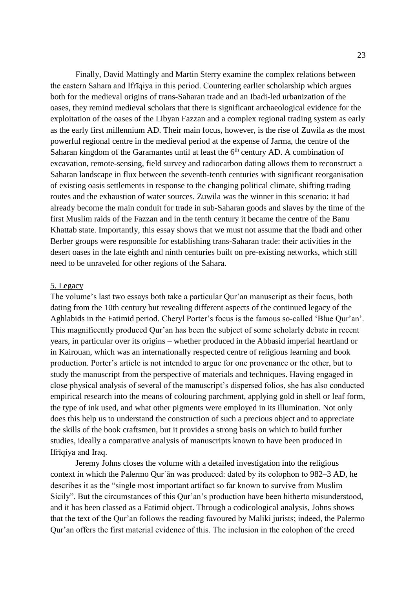Finally, David Mattingly and Martin Sterry examine the complex relations between the eastern Sahara and Ifrīqiya in this period. Countering earlier scholarship which argues both for the medieval origins of trans-Saharan trade and an Ibadi-led urbanization of the oases, they remind medieval scholars that there is significant archaeological evidence for the exploitation of the oases of the Libyan Fazzan and a complex regional trading system as early as the early first millennium AD. Their main focus, however, is the rise of Zuwila as the most powerful regional centre in the medieval period at the expense of Jarma, the centre of the Saharan kingdom of the Garamantes until at least the  $6<sup>th</sup>$  century AD. A combination of excavation, remote-sensing, field survey and radiocarbon dating allows them to reconstruct a Saharan landscape in flux between the seventh-tenth centuries with significant reorganisation of existing oasis settlements in response to the changing political climate, shifting trading routes and the exhaustion of water sources. Zuwila was the winner in this scenario: it had already become the main conduit for trade in sub-Saharan goods and slaves by the time of the first Muslim raids of the Fazzan and in the tenth century it became the centre of the Banu Khattab state. Importantly, this essay shows that we must not assume that the Ibadi and other Berber groups were responsible for establishing trans-Saharan trade: their activities in the desert oases in the late eighth and ninth centuries built on pre-existing networks, which still need to be unraveled for other regions of the Sahara.

#### 5. Legacy

The volume's last two essays both take a particular Qur'an manuscript as their focus, both dating from the 10th century but revealing different aspects of the continued legacy of the Aghlabids in the Fatimid period. Cheryl Porter's focus is the famous so-called 'Blue Qur'an'. This magnificently produced Qur'an has been the subject of some scholarly debate in recent years, in particular over its origins – whether produced in the Abbasid imperial heartland or in Kairouan, which was an internationally respected centre of religious learning and book production. Porter's article is not intended to argue for one provenance or the other, but to study the manuscript from the perspective of materials and techniques. Having engaged in close physical analysis of several of the manuscript's dispersed folios, she has also conducted empirical research into the means of colouring parchment, applying gold in shell or leaf form, the type of ink used, and what other pigments were employed in its illumination. Not only does this help us to understand the construction of such a precious object and to appreciate the skills of the book craftsmen, but it provides a strong basis on which to build further studies, ideally a comparative analysis of manuscripts known to have been produced in Ifrīqiya and Iraq.

Jeremy Johns closes the volume with a detailed investigation into the religious context in which the Palermo Qurʾān was produced: dated by its colophon to 982–3 AD, he describes it as the "single most important artifact so far known to survive from Muslim Sicily". But the circumstances of this Qur'an's production have been hitherto misunderstood, and it has been classed as a Fatimid object. Through a codicological analysis, Johns shows that the text of the Qur'an follows the reading favoured by Maliki jurists; indeed, the Palermo Qur'an offers the first material evidence of this. The inclusion in the colophon of the creed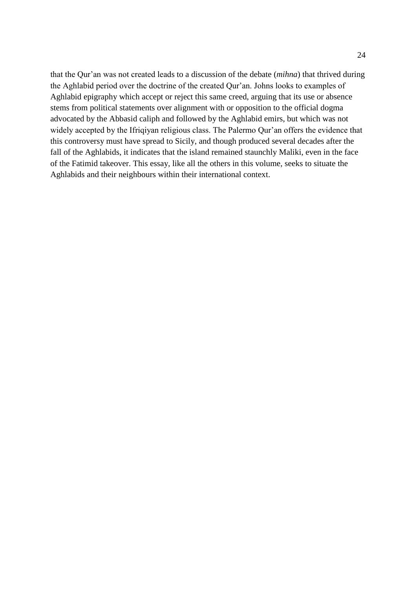that the Qur'an was not created leads to a discussion of the debate (*mihna*) that thrived during the Aghlabid period over the doctrine of the created Qur'an. Johns looks to examples of Aghlabid epigraphy which accept or reject this same creed, arguing that its use or absence stems from political statements over alignment with or opposition to the official dogma advocated by the Abbasid caliph and followed by the Aghlabid emirs, but which was not widely accepted by the Ifriqiyan religious class. The Palermo Qur'an offers the evidence that this controversy must have spread to Sicily, and though produced several decades after the fall of the Aghlabids, it indicates that the island remained staunchly Maliki, even in the face of the Fatimid takeover. This essay, like all the others in this volume, seeks to situate the Aghlabids and their neighbours within their international context.